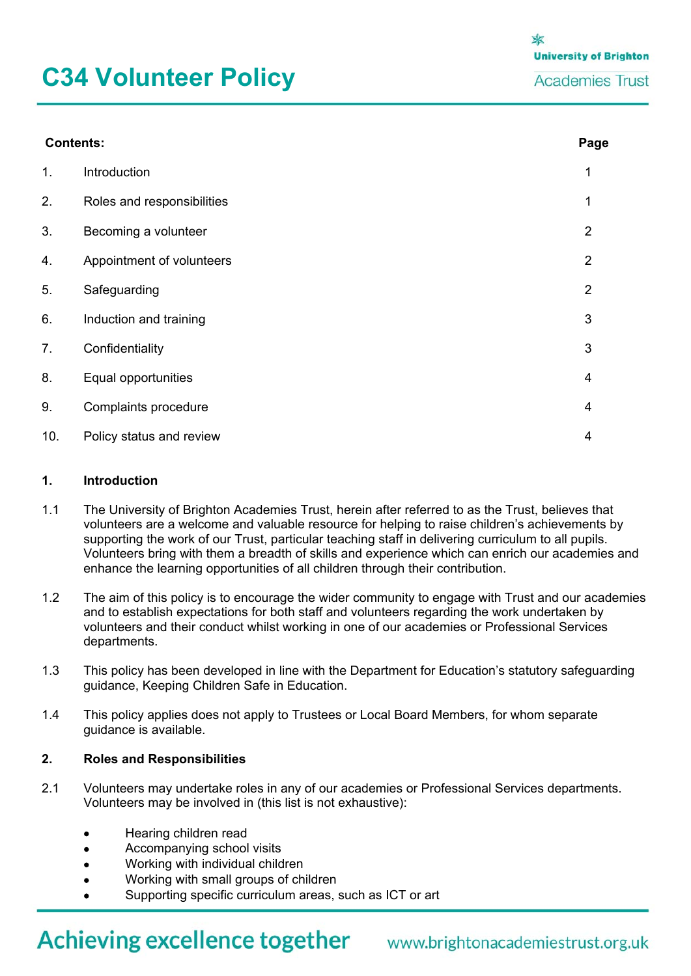# **C34 Volunteer Policy**

| <b>Contents:</b> |                            |                |
|------------------|----------------------------|----------------|
| 1.               | Introduction               | 1              |
| 2.               | Roles and responsibilities | 1              |
| 3.               | Becoming a volunteer       | $\overline{2}$ |
| 4.               | Appointment of volunteers  | $\overline{2}$ |
| 5.               | Safeguarding               | $\overline{2}$ |
| 6.               | Induction and training     | 3              |
| 7.               | Confidentiality            | $\mathbf{3}$   |
| 8.               | Equal opportunities        | $\overline{4}$ |
| 9.               | Complaints procedure       | $\overline{4}$ |
| 10.              | Policy status and review   | $\overline{4}$ |

#### **1. Introduction**

- 1.1 The University of Brighton Academies Trust, herein after referred to as the Trust, believes that volunteers are a welcome and valuable resource for helping to raise children's achievements by supporting the work of our Trust, particular teaching staff in delivering curriculum to all pupils. Volunteers bring with them a breadth of skills and experience which can enrich our academies and enhance the learning opportunities of all children through their contribution.
- 1.2 The aim of this policy is to encourage the wider community to engage with Trust and our academies and to establish expectations for both staff and volunteers regarding the work undertaken by volunteers and their conduct whilst working in one of our academies or Professional Services departments.
- 1.3 This policy has been developed in line with the Department for Education's statutory safeguarding guidance, Keeping Children Safe in Education.
- 1.4 This policy applies does not apply to Trustees or Local Board Members, for whom separate guidance is available.

#### **2. Roles and Responsibilities**

- 2.1 Volunteers may undertake roles in any of our academies or Professional Services departments. Volunteers may be involved in (this list is not exhaustive):
	- Hearing children read
	- Accompanying school visits
	- Working with individual children
	- Working with small groups of children
	- Supporting specific curriculum areas, such as ICT or art

## Achieving excellence together www.brightonacademiestrust.org.uk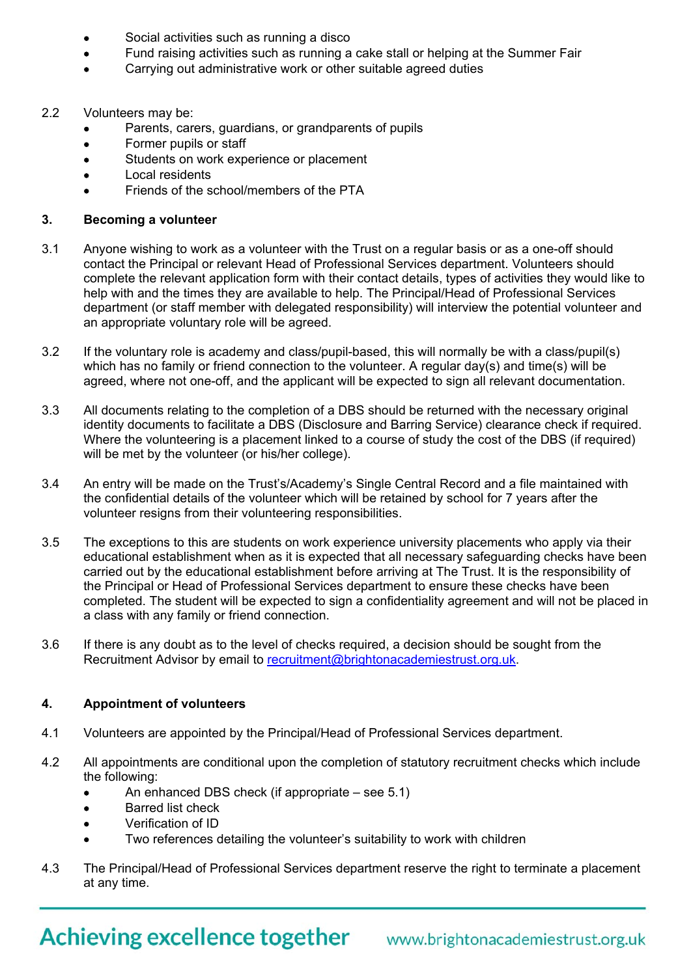- Social activities such as running a disco
- Fund raising activities such as running a cake stall or helping at the Summer Fair
- Carrying out administrative work or other suitable agreed duties
- 2.2 Volunteers may be:
	- Parents, carers, guardians, or grandparents of pupils
	- Former pupils or staff
	- Students on work experience or placement
	- Local residents
	- Friends of the school/members of the PTA

#### **3. Becoming a volunteer**

- 3.1 Anyone wishing to work as a volunteer with the Trust on a regular basis or as a one-off should contact the Principal or relevant Head of Professional Services department. Volunteers should complete the relevant application form with their contact details, types of activities they would like to help with and the times they are available to help. The Principal/Head of Professional Services department (or staff member with delegated responsibility) will interview the potential volunteer and an appropriate voluntary role will be agreed.
- 3.2 If the voluntary role is academy and class/pupil-based, this will normally be with a class/pupil(s) which has no family or friend connection to the volunteer. A regular day(s) and time(s) will be agreed, where not one-off, and the applicant will be expected to sign all relevant documentation.
- 3.3 All documents relating to the completion of a DBS should be returned with the necessary original identity documents to facilitate a DBS (Disclosure and Barring Service) clearance check if required. Where the volunteering is a placement linked to a course of study the cost of the DBS (if required) will be met by the volunteer (or his/her college).
- 3.4 An entry will be made on the Trust's/Academy's Single Central Record and a file maintained with the confidential details of the volunteer which will be retained by school for 7 years after the volunteer resigns from their volunteering responsibilities.
- 3.5 The exceptions to this are students on work experience university placements who apply via their educational establishment when as it is expected that all necessary safeguarding checks have been carried out by the educational establishment before arriving at The Trust. It is the responsibility of the Principal or Head of Professional Services department to ensure these checks have been completed. The student will be expected to sign a confidentiality agreement and will not be placed in a class with any family or friend connection.
- 3.6 If there is any doubt as to the level of checks required, a decision should be sought from the Recruitment Advisor by email to recruitment@brightonacademiestrust.org.uk.

#### **4. Appointment of volunteers**

- 4.1 Volunteers are appointed by the Principal/Head of Professional Services department.
- 4.2 All appointments are conditional upon the completion of statutory recruitment checks which include the following:
	- An enhanced DBS check (if appropriate see 5.1)
	- **Barred list check**
	- Verification of ID
	- Two references detailing the volunteer's suitability to work with children
- 4.3 The Principal/Head of Professional Services department reserve the right to terminate a placement at any time.

Achieving excellence together www.brightonacademiestrust.org.uk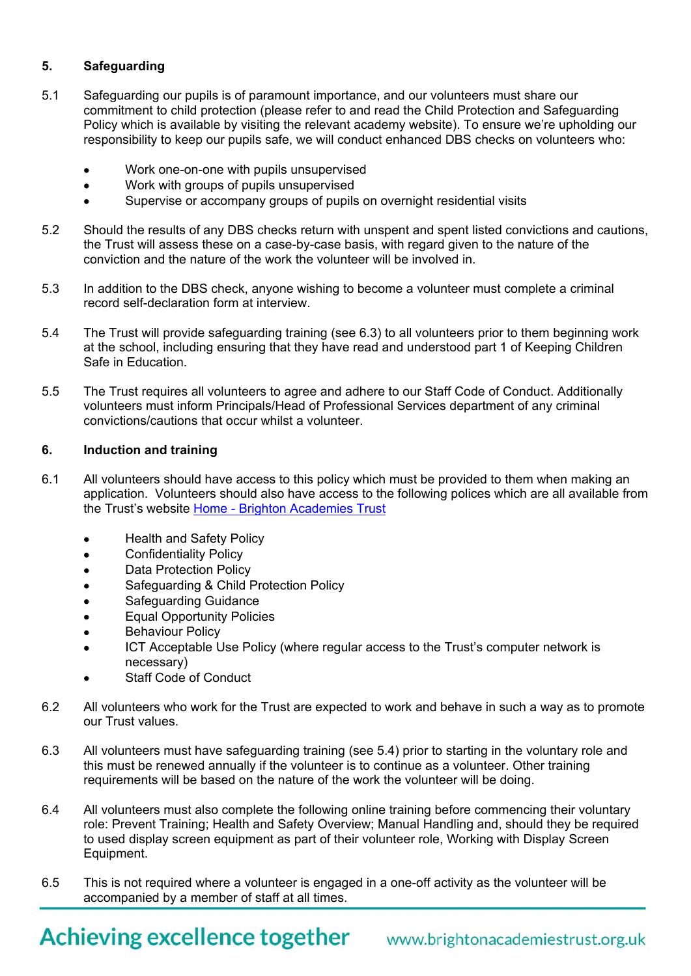#### **5. Safeguarding**

- 5.1 Safeguarding our pupils is of paramount importance, and our volunteers must share our commitment to child protection (please refer to and read the Child Protection and Safeguarding Policy which is available by visiting the relevant academy website). To ensure we're upholding our responsibility to keep our pupils safe, we will conduct enhanced DBS checks on volunteers who:
	- Work one-on-one with pupils unsupervised
	- Work with groups of pupils unsupervised
	- Supervise or accompany groups of pupils on overnight residential visits
- 5.2 Should the results of any DBS checks return with unspent and spent listed convictions and cautions, the Trust will assess these on a case-by-case basis, with regard given to the nature of the conviction and the nature of the work the volunteer will be involved in.
- 5.3 In addition to the DBS check, anyone wishing to become a volunteer must complete a criminal record self-declaration form at interview.
- 5.4 The Trust will provide safeguarding training (see 6.3) to all volunteers prior to them beginning work at the school, including ensuring that they have read and understood part 1 of Keeping Children Safe in Education.
- 5.5 The Trust requires all volunteers to agree and adhere to our Staff Code of Conduct. Additionally volunteers must inform Principals/Head of Professional Services department of any criminal convictions/cautions that occur whilst a volunteer.

#### **6. Induction and training**

- 6.1 All volunteers should have access to this policy which must be provided to them when making an application. Volunteers should also have access to the following polices which are all available from the Trust's website Home - Brighton Academies Trust
	- Health and Safety Policy
	- **•** Confidentiality Policy
	- Data Protection Policy
	- Safeguarding & Child Protection Policy
	- Safeguarding Guidance
	- Equal Opportunity Policies
	- **•** Behaviour Policy
	- ICT Acceptable Use Policy (where regular access to the Trust's computer network is necessary)
	- Staff Code of Conduct
- 6.2 All volunteers who work for the Trust are expected to work and behave in such a way as to promote our Trust values.
- 6.3 All volunteers must have safeguarding training (see 5.4) prior to starting in the voluntary role and this must be renewed annually if the volunteer is to continue as a volunteer. Other training requirements will be based on the nature of the work the volunteer will be doing.
- 6.4 All volunteers must also complete the following online training before commencing their voluntary role: Prevent Training; Health and Safety Overview; Manual Handling and, should they be required to used display screen equipment as part of their volunteer role, Working with Display Screen Equipment.
- 6.5 This is not required where a volunteer is engaged in a one-off activity as the volunteer will be accompanied by a member of staff at all times.

# Achieving excellence together www.brightonacademiestrust.org.uk